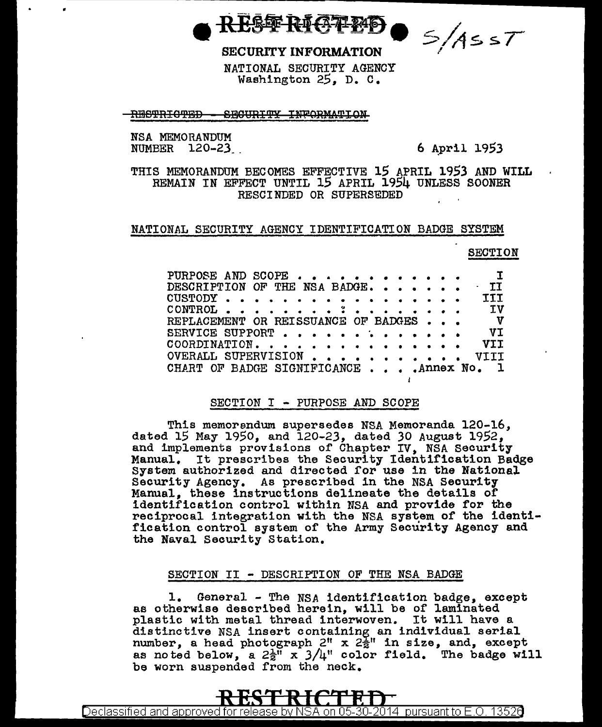T&& RI(37 PP)

**SECURITY INFORMATION** 

 $\bullet$   $\leq$  /AssT

NATIONAL SECURITY AGENCY Washington 25. D. C.

RESTRICTED - SECURITY INFORMATION

NSA MEMORANDUM NUMBER 120-23

6 April 1953

THIS MEMORANDUM BECOMES EFFECTIVE 15 APRIL 1953 AND WILL REMAIN IN EFFECT UNTIL 15 APRIL 1954 UNLESS SOONER RESCINDED OR SUPERSEDED

## NATIONAL SECURITY AGENCY IDENTIFICATION BADGE SYSTEM

## **SECTION**

| PURPOSE AND SCOPE                                    |  |  |  |  |  |  | $\mathbf{I}$ |
|------------------------------------------------------|--|--|--|--|--|--|--------------|
| DESCRIPTION OF THE NSA BADGE.                        |  |  |  |  |  |  | TI           |
| $\texttt{CUSTODY}$ , , , , , , , , , , , , , , , , , |  |  |  |  |  |  | TTT          |
| CONTROL $\ldots$                                     |  |  |  |  |  |  | <b>IV</b>    |
| REPLACEMENT OR REISSUANCE OF BADGES                  |  |  |  |  |  |  | $\mathbf v$  |
| SERVICE SUPPORT                                      |  |  |  |  |  |  | VT.          |
| COORDINATION.                                        |  |  |  |  |  |  | VII          |
| OVERALL SUPERVISION                                  |  |  |  |  |  |  |              |
| CHART OF BADGE SIGNIFICANCE Annex No. 1              |  |  |  |  |  |  |              |

 $\ddot{\phantom{a}}$ 

## SECTION I - PURPOSE AND SCOPE

This memorandum supersedes NSA Memoranda 120-16, dated 15 May 1950, and 120-23, dated 30 August 1952, and implements provisions of Chapter IV, NSA Security Manual. It prescribes the Security Identification Badge System authorized and directed for use in the National Security Agency. As prescribed in the NSA Security Manual, these instructions delineate the details of identification control within NSA and provide for the reciprocal integration with the NSA system of the identification control system of the Army Security Agency and the Naval Security Station.

## SECTION II - DESCRIPTION OF THE NSA BADGE

 $\mathbf{1}_{\bullet}$ General - The NSA identification badge, except as otherwise described herein, will be of laminated plastic with metal thread interwoven. It will have a distinctive NSA insert containing an individual serial number, a head photograph  $2^n$  x  $2\frac{1}{2}$ " in size, and, except as noted below, a  $2\frac{1}{2}$ " x  $3/4$ " color field. The badge will be worn suspended from the neck.

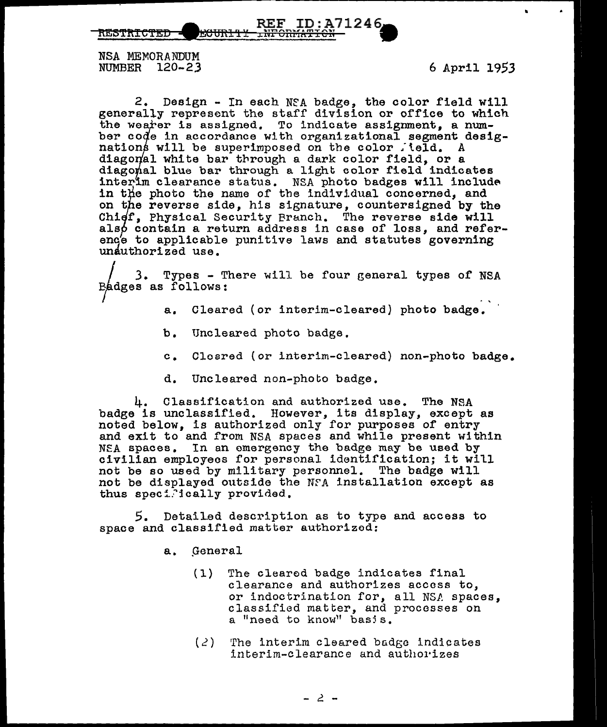rtEt>'f~!~'fEf' IJI!i6Wt!f ~~~mfA¥iJh 712 4 6

NSA MEMORANDUM NUMBER 120-23 6 April 1953

9

2. Design - In each NfA badge, the color field will generally represent the staff division or office to which the wearer is assigned. To indicate assignment. a number code in accordance with organizational segment desig-<br>nations will be superimposed on the color jeld. A nations will be superimposed on the color field. diagonal white bar through a dark color field, or a diagonal blue bar through a light color field indicates interim clearance status. NSA photo badges will include in the photo the name of the individual concerned, and on the reverse side, his signature, countersigned by the Chidf. Physical Security Branch. The reverse side will also contain a return address in case of loss, and referenc's to applicable punitive laws and statutes governing unauthorized use.

3. Types - There will be four general types of NSA Badges as follows:

- a. Cleared (or interim-cleared) photo badge.
- b. Uncleared photo badge.
- c. Cleared (or interim-cleared) non-photo badge.
- d. Uncleared non-photo badge.

4. Classification and authorized use. The NSA badge is unclassified. However, its display, except as noted below, is authorized only for purposes of entry and exit to and from NSA spaces and while present within NEA spaces. In an emergency the badge may be used by civilian employees for personal identification; it will not be so used by military personnel. The badge will not be displayed outside the NfA installation except as thus specifically provided.

 $5.$  Detailed description as to type and access to space and classified matter authorizod:

- a. General
	- (1) The cleared badge indicates final clearance and authorizes access to, or indoctrination for, all NSA spaces, classified matter, and processes on a "need to know" basis.
	- $(2)$  The interim cleared badge indicates interim-clearance and authorizes

- 2 -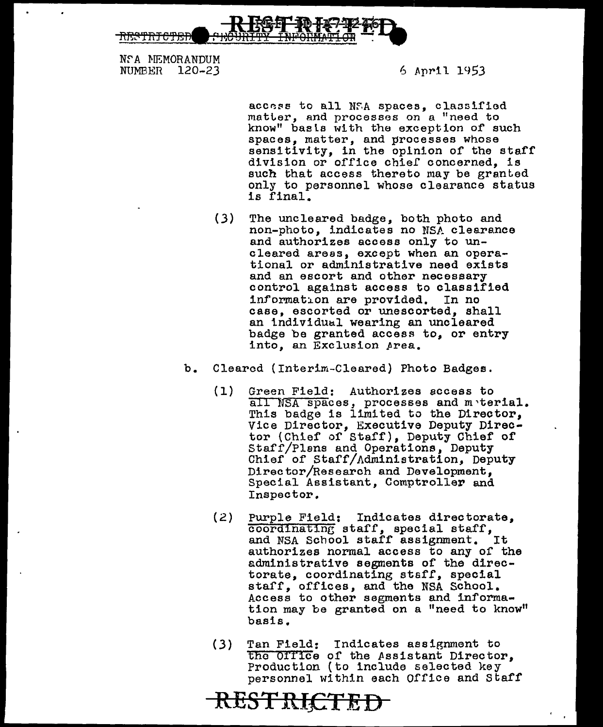

Nf A MEMORANDUM NUMBER 120-23

6 April 1953

access to all NFA spaces, classified matter, and processes on a "need to know" baala with the exception of' such spaces, matter, and processes whose sensitivity, in the opinion of the staff division or office chie£ concerned, is such that access thereto may be granted only to personnel whose clearance status is final.

- (3) The uncleared badge, both photo and non-photo, indicates no NSA clearance and authorizes access only to uncleared areas, except when an operational or administrative need exists<br>and an escort and other necessary control against access to classified information are provided. In no case, escorted or unescorted, shall an individual wearing an uncleared badge be granted access to, or entry into, an Exclusion Area.
- b. Cleared (Interim-Cleared) Photo Badges.
	- (1) Green Field: Authorizes access to all NSA spaces, processes and meterial. This badge is limited to the Director, Vice Director, Executive Deputy Director (Chief of Staff), Deputy Chief of<br>Staff/Plans and Operations, Deputy Chief of Staff/Administration, Deputy Director/Research and Development, Special Assistant, Comptroller and Inspector.
	- (2) Purple Field: Indicates directorate,  $\overline{\text{coordination}}$  staff, special staff, and NSA School staff assignment. It authorizes normal access to any of the sdministrative segments of the directorate, coordinating staff, special staff, offices, and the NSA School. Access to other segments and information may be granted on a "need to know" basis.
	- (3) Tan Field: Indicates assignment to the Office of the Assistant Director, Production (to include selected key personnel within each Office and Staff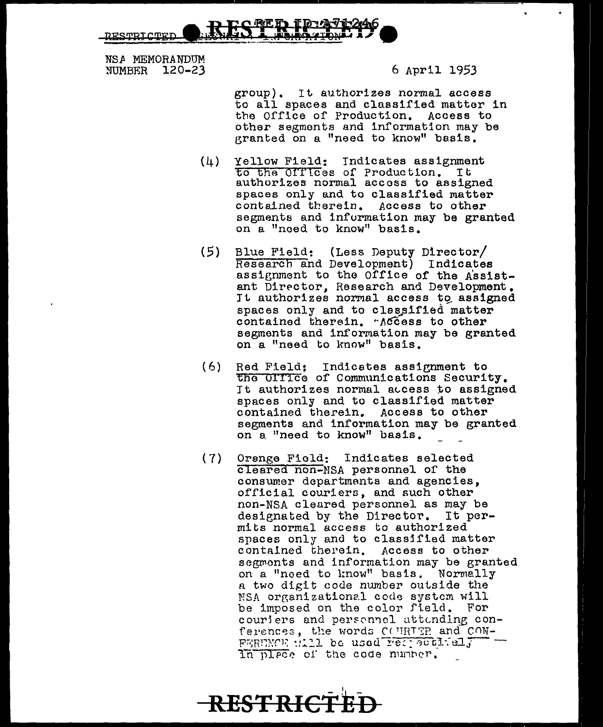תסח*ות ד*סחופים

NSA MEMORANDUM **NUMBER** 120-23

6 April 1953

group). It authorizes normal access to all spaces and classified matter in the Office of Production. Access to other segments and information may be granted on a "need to know" basis.

- $(4)$ Yellow Field: Indicates assignment to the Offices of Production. It authorizes normal access to assigned spaces only and to classified matter contained therein. Access to other segments and information may be granted on a "need to know" basis.
- Blue Field: (Less Deputy Director/  $(5)$ Research and Development) Indicates assignment to the Office of the Assistant Director, Research and Development. It authorizes normal access to assigned spaces only and to classified matter contained therein. Access to other segments and information may be granted on a "need to know" basis.
- $(6)$ Red Field: Indicates assignment to the Office of Communications Security. It authorizes normal access to assigned spaces only and to classified matter contained therein. Access to other segments and information may be granted on a "need to know" basis.
- $(7)$ Orange Field: Indicates selected cleared non-MSA personnel of the consumer departments and agencies. official couriers, and such other non-NSA cleared personnel as may be designated by the Director. It permits normal access to authorized spaces only and to classified matter contained therein. Access to other segments and information may be granted on a "need to know" basis. Normally a two digit code number outside the NSA organizational code system will be imposed on the color field. For couriers and personnel attending conferences, the words COURTER and CON-FERENCE WILL be used respectively In place of the code number.

**RESTRICTED**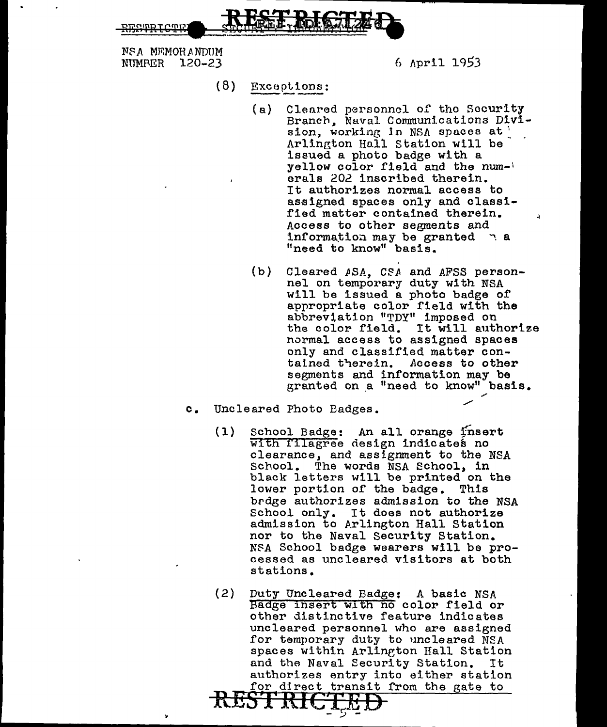RESTRIGTED

NSA MEMORANDUM<br>NUMRER 120-23 6 April 1953

- $(8)$  Exceptions:
	- (a) Clenred personnol of tho Security Branch, Naval Communications Division, working in  $NSA$  spaces at  $\cdot$ Arlington Hall Station will be issued a photo badge with a yellow color field and the num-' erals 202 inscribed therein. It authorizes normal access to assigned spaces only and classified matter contained therein. Access to other segments and information may be granted  $\gamma$  a "need to know" basis.
	- (b) Cleared ASA, CSA and AFSS person-<br>nel on temporary duty with NSA will be issued a photo badge of appropriate color field with the abbreviation "TDY" imposed on the color field. It will authorize normal access to assigned spaces only and classified matter con-<br>tained therein. Access to other tained therein. segments and information may be granted on a "need to know" basis.
- o. Uncleared Photo Badges.
	- (1) School Badge: An all orange fnsert with filagree design indicates no clearance, and assignment to the NSA School. The words NSA School, in black letters will be printed on the<br>lower portion of the badge. This lower portion of the badge. brdge authorizes admission to the NSA School only. It does not authorize admission to Arlington Hall Station nor to the Naval Security Station. N\$A School badge wearers will be processed as uncleared visitors at both stations.
	- (2) Duty Uncleared Badge: A basic NSA Badge insert with no color rield or other distinctive feature indicates uncleared personnel who are assigned for temporary duty to uncleared NSA spaces within Arllneton Hall Station and the Naval Security Station. It authorizes entry into either station for direct transit from the gate to  $R$ *EST* RICTED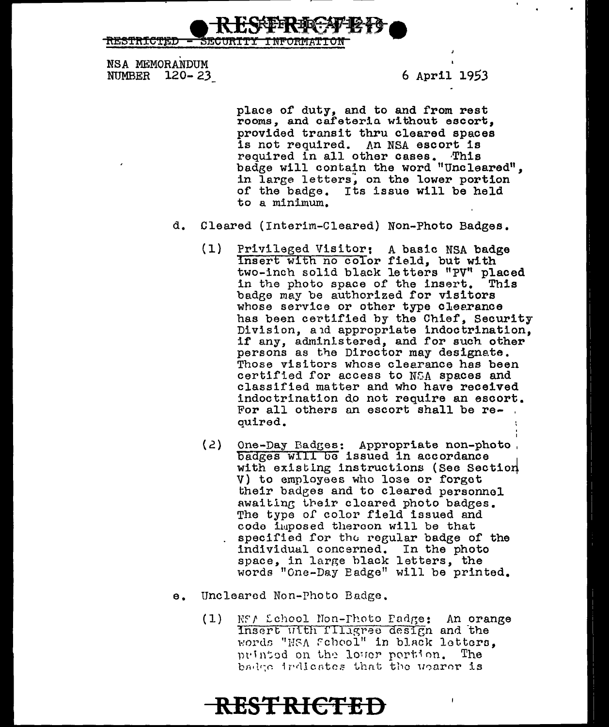RESTRICTED SECURITY INFORMATION

NSA MEMORANDUM NUMBER 120- *23* 6 April 1953

place of duty, and to and from rest rooms, and cafeteria without escort, provided transit thru cleared spaces is not required. An NSA escort is required in all other cases. This badge will contain the word "Uncleared", in large letters, on the lower portion of the badge. Its issue will be held to a minimum.

- d. Cleared (Interim-Cleared) Non-Photo Badges.
	- (1) Privileged Visitor: A basic NSA badge insert with no color field, but with two-inch solid black letters "PV'' placed in the photo space of the insert. This badge may be authorized for visitors whose service or other type clearance has been certified by the Chief, Security Division, a1d appropriate indoctrination, if any, administered, and for such other persons as the Director may designate. Those visitors whose clearance has been certified for access to NCA spaces and classified matter and who have received indoctrination do not require an escort. For all others an escort shall be re-<br>quired.
	- (2) One-Day Badges: Appropriate non-photo, badges will be issued in accordance with existing instructions (See Section V) to employees who lose or forget their badges and to cleared personnel awaiting their cleared photo badges. The type of color field issued and code imposed thereon will be that specified for the regular badge of the individual concerned. In the photo space, in large black letters, the words "One-Day Badge" will be printed.
- e. Uncleared Non-Photo Badge.
	- (1) NS/ School Non-Photo Padge: An orange Insert with fillagree design and the words "HSA Feheol" in black letters, printed on the lower portion. The badge indicates that the uparer is

**RESTRI€TED**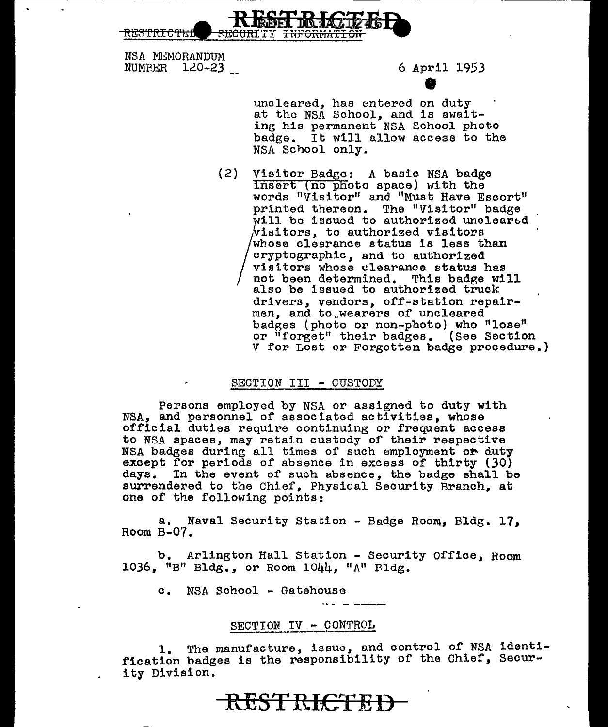

NSA MEMORANDUM NUMPER 120-23 6 April 1953

% 6 April 19<br>uncleared, has entered on duty at tho NSA School, and is awaiting his permanent NSA School photo badge. It will allow access to the NSA School only.

(2) Visitor Badge: A basic NSA badge Insert (no photo space) with the words "Visitor" and "Must Have Escort" printed thereon. The "Visitor" badge will be issued to authorized unclearbd  $\sqrt{n}$ isitors, to authorized visitors / whose clearance status is less than cryptographic, and to authorized visitors whose clearance status has not been determined. This badge will also be issued to authorized truck drivers, vendors, off-station repairmen, and to wearers of uncleared badges (photo or non-photo) who "lose" or "forget" their badges. (See Section V for Lost or Forgotten badge procedure.)

### SECTION III - CUSTODY

Persons employed by NSA or assigned to duty with NSA, and personnel of associated activities, whose official duties require continuing or frequent access to NSA spaces, may retain custody of their respective NSA badges during all times of such employment or duty except for periods of absence in excess of thirty (30) days. In the event of' such absence, the badge shall be surrendered to the Chier, Physical Security Branch, at one of the following points:

a. Naval Security Station - Badge Room, Bldg. 17. Room B-07.

b. Arlington Hall Station - Security Office. Room 1036, "B" Bldg., or Room  $1044$ , "A" Bldg.

c. NSA School - Gatehouse

## SECTION IV - CONTROL

1. The manufacture, issue, and control of NSA identification badges is the responsibility of the Chief, Security Division.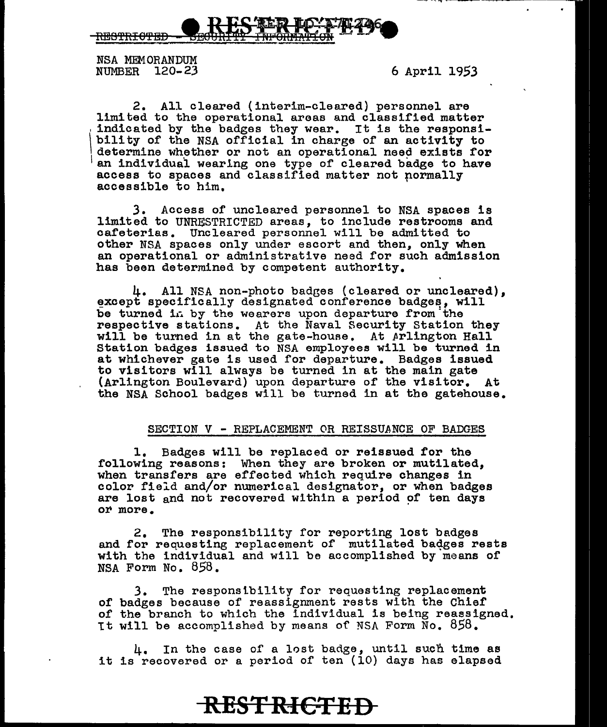

NSA MEMORANDUM<br>NUMBER 120-23

6 April 1953

2. All cleared (interim-cleared) personnel are<br>limited to the operational areas and classified matter indicated by the badges they wear. It is the responsi- $\mathbf{I}$ bility of the NSA official in charge of an activity to determine whether or not an operational need exists for an individual wearing one type of cleared badge to have access to spaces and classified matter not normally accessible to him.

3. Access of uncleared personnel to NSA spaces is limited to UNRESTRICTED areas, to include restrooms and cafeterias. Uncleared personnel will be admitted to other NSA spaces only under escort and then, only when an operational or administrative need for such admission has been determined by competent authority.

4. All NSA non-photo badges (cleared or uncleared), except specifically designated conference badges, will be turned in by the wearers upon departure from the respective stations. At the Naval Security Station they will be turned in at the gate-house. At Arlington Hall Station badges issued to NSA employees will be turned in at whichever gate is used for departure. Badges issued to visitors will always be turned in at the main gate (Arlington Boulevard) upon departure of the visitor. At the NSA School badges will be turned in at the gatehouse.

#### SECTION V - REPLACEMENT OR REISSUANCE OF BADGES

1. Badges will be replaced or reissued for the following reasons: When they are broken or mutilated, when transfers are effected which require changes in color field and/or numerical designator, or when badges are lost and not recovered within a period of ten days or more.

2. The responsibility for reporting lost badges and for requesting replacement of mutilated badges rests with the individual and will be accomplished by means of NSA Form No. 858.

3. The responslbility for requesting replacement of badges because of reassignment rests with the Chief of the branch to which the individual is being reassigned. 1t will be accomplished by means of NSA Form No. 858.

4. In the case of a lost badge, until such time as it is recovered or a period of ten (10) days has elapsed

**RESTRICTED**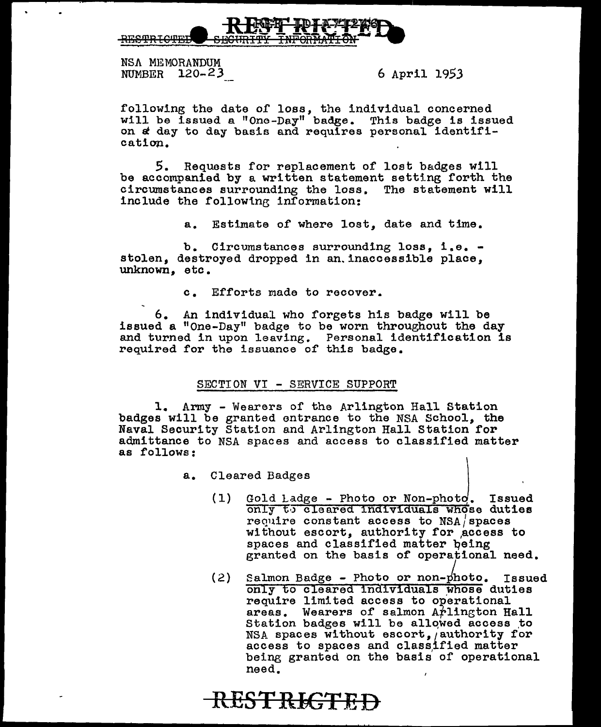

NSA MEMORANDUM NUMBER 120-23 6 April 1953

following the date of loss, the individual concerned will be issued a "One-Day" badge. This badge is issued while be issued a one fay badge. This sadge is form ca tion.

S. Requests for replacement of lost badges will be accompanied by a written statement setting forth the circumstances surrounding the loss. The statement will circumstances surrounding the loss. include the following information:

a. Estimate of where lost, date and time.

b. Circumstances surrounding loss, i.e. - stolen, destroyed dropped in an.inaccessible place, unknown, etc.

c. Efforts made to recover.

6. An individual who forgets his badge will be issued a "One-Day" badge to be worn throughout the day and turned in upon leaving. Personal identification is required for the issuance of this badge.

## SECTION VI - SERVICE SUPPORT

**RESTRICTED** 

1. Army - Wearers of the Arlington Hall Station badges will be granted entrance to the NSA School, the Naval Security Station and Arlington Hall Station for admittance to NSA spaces and access to classified matter as follows:

a. Cleared Badges

- $(1)$ Gold Ladge - Photo or Non-photo. Issued only to cleared individuals whose duties require constant access to  $NSA /$  spaces without escort, authority for ,access to spaces and classified matter being granted on the basis of operational need.
- (2) Salmon Badge Photo or non-photo. Issued Salmon Badge - Photo or non-photo. Issued<br>
only to cleared individuals whose duties require limited access to operational areas. Wearers of salmon Arlington Hall Station badges will be allowed access to NSA spaces without escort, authority for access to spaces and class,ified matter being granted on the basis of operational need.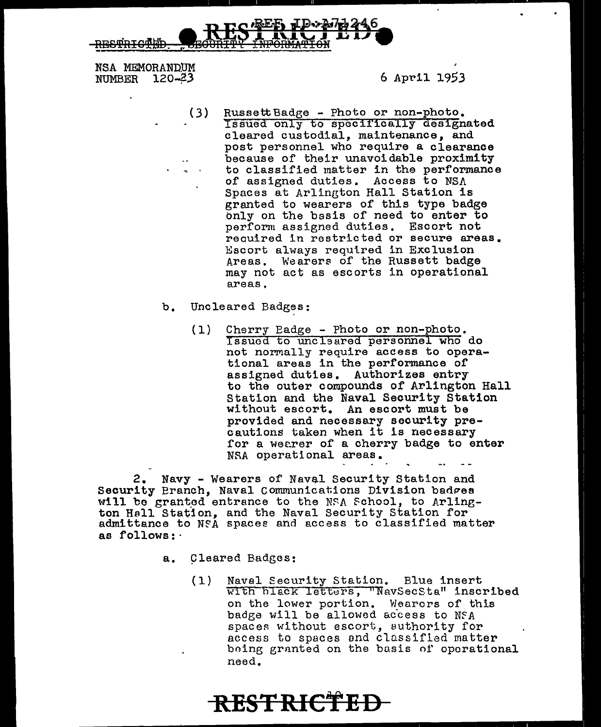RESTRICTION RESERVED TO 246

NSA MEMORANDUM NUMBER 120-23 6 April 1953

•

- (3) Russett Badge Photo or non-photo.<br>Issued only to specifically designated cleared custodial, maintenance, and post personnel who require a clearance because of their unavoidable proximity to classified matter in the performance of assigned duties. Access to NSA Spaces at Arlington Hall Station is granted to wearers of this type badge bnly on the basis of need to enter to perform assigned duties. Escort not reauired in restricted or secure areas. Escort always required in Exclusion Areas. Wearers of the Russett badge may not act as escorts in operational areas.
- b. Uncleared Badges:
	- (1) Cherry Badge Photo or non-photo. Issued to uncleared personnel who do not normally require access to operational areas in the performance of assigned duties. Authorizes entry to the outer compounds of Arlington Hall Station and the Naval Security Station without escort. An escort must be provided and necessary security precautlons taken when it is necessary for a wearer of a cherry badge to enter NRA operational areas.

2. Navy - Wearers of Naval Security Station and Security Branch, Naval Communications Division badges will be granted entrance to the NSA School, to Arlington Hall Station, and the Naval Security Station for admittance to NFA spaces and access to classified matter as follows:

- a. Cleared Badges:
	- (1) Naval Security Station. Blue insert with black letters, "NavSecSta" inscribed on the lower portion. Wearers of this badge will be allowed access to NFA spaces without escort, suthority for access to spaces and classified matter being granted on the basis of operational need.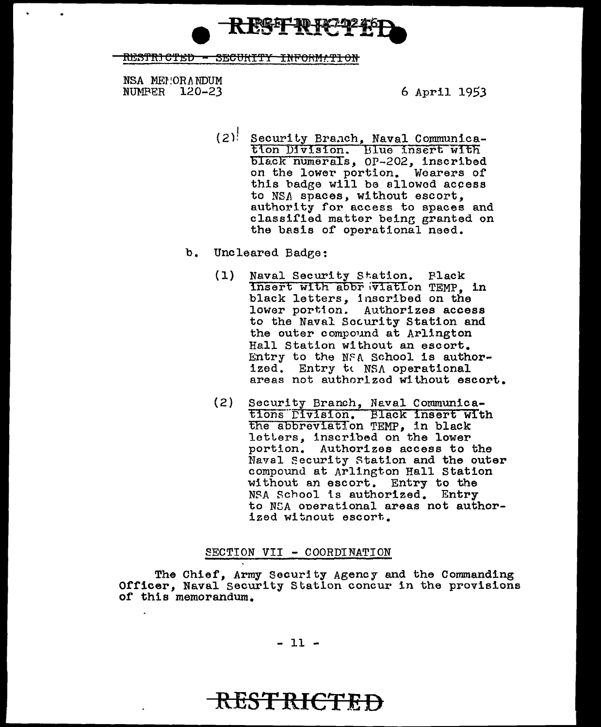**S PREEL TO TAX** 

RESTRICTED - SECURTTY INFORMATION

NSA MEPIORANDUM **NUMPER 120-23** 

6 April 1953

- $(2)$  Security Branch, Naval Communication Division. Blue insert with<br>black numerals, 0P-202, inscribed on the lower portion. Wearers of this badge will be allowed access to NSA spaces, without escort. authority for access to spaces and classified matter being granted on the basis of operational need.
- b. Uncleared Badge:
	- Naval Security Station. Plack<br>Insert with abbr wiation TEMP, in  $(1)$ black letters, inscribed on the lower portion. Authorizes access to the Naval Security Station and the outer compound at Arlington Hall Station without an escort. Entry to the NFA School is authorized. Entry to NSA operational areas not authorized without escort.
	- $(2)$ Security Branch, Naval Communica-<br>tions Division. Black insert with the abbreviation TEMP, in black letters, inscribed on the lower portion. Authorizes access to the Naval Security Station and the outer compound at Arlington Hall Station without an escort. Entry to the NSA School is authorized. Entry to NSA operational areas not authorized witnout escort.

### SECTION VII - COORDINATION

The Chief. Army Security Agency and the Commanding Officer, Naval Security Station concur in the provisions of this memorandum.

 $-11 -$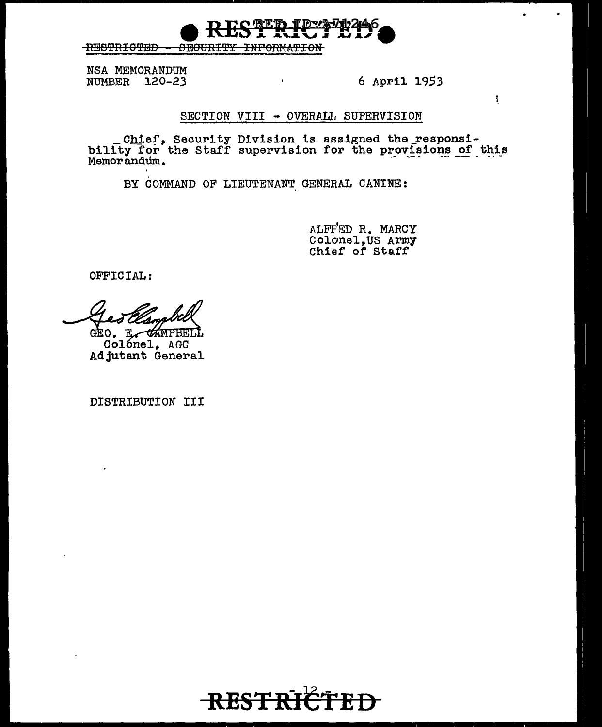**RESTRICTED SEGURITY** <del>INFORMATION</del>

NSA MEMORANDUM **NUMBER** 120-23

6 April 1953

 $\mathbf{I}$ 

## SECTION VIII - OVERALL SUPERVISION

 $\bar{\mathbf{r}}$ 

Chief, Security Division is assigned the responsi-<br>bility for the Staff supervision for the provisions of this<br>Memorandum.

BY COMMAND OF LIEUTENANT GENERAL CANINE:

ALFFED R. MARCY Colonel, US Army<br>Chief of Staff

OFFICIAL:

GEO. E CAMPBE

Colónel, AGC Adjutant General

DISTRIBUTION III

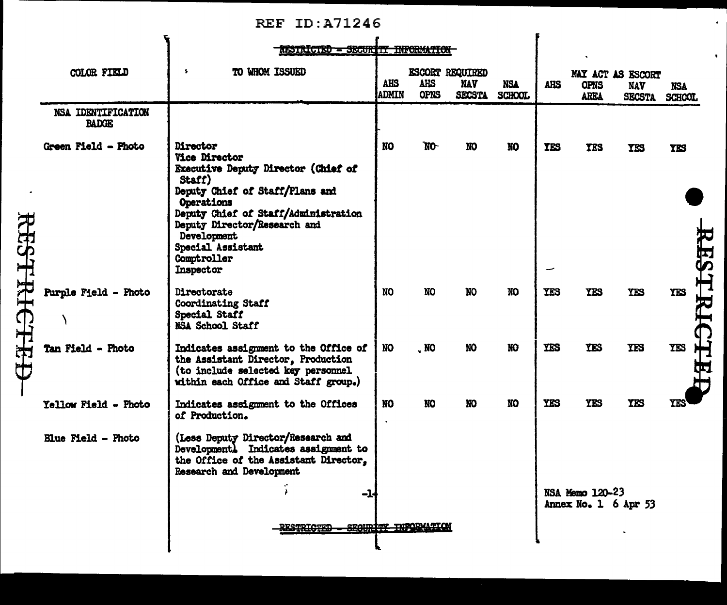## REF ID:A71246

 $\ddot{\phantom{a}}$ 

 $\hat{\mathbf{r}}$ 

÷

|         |                                    |                                                                                                                                                                                                                                                                                          | RESTRICTED - SECURITY INFORMATION |                     |                           |                                                       |                             |             |                                                 |                             |                      |  |
|---------|------------------------------------|------------------------------------------------------------------------------------------------------------------------------------------------------------------------------------------------------------------------------------------------------------------------------------------|-----------------------------------|---------------------|---------------------------|-------------------------------------------------------|-----------------------------|-------------|-------------------------------------------------|-----------------------------|----------------------|--|
|         | COLOR FIELD                        | TO WHOM ISSUED<br>÷                                                                                                                                                                                                                                                                      |                                   | <b>AHS</b><br>ADMIN | <b>AHS</b><br><b>OPNS</b> | <b>ESCORT REQUIRED</b><br><b>NAV</b><br><b>SECSTA</b> | <b>NSA</b><br><b>SCHOOL</b> | <b>AIIS</b> | MAY ACT AS ESCORT<br><b>OPNS</b><br><b>AREA</b> | <b>NAV</b><br><b>SECSTA</b> | <b>NSA</b><br>SCHOOL |  |
|         | NSA IDENTIFICATION<br><b>BADGE</b> |                                                                                                                                                                                                                                                                                          |                                   |                     |                           |                                                       |                             |             |                                                 |                             |                      |  |
| ESTHEET | Green Field - Photo                | Director<br><b>Vice Director</b><br><b>Executive Deputy Director (Chief of</b><br>Staff)<br>Deputy Chief of Staff/Plans and<br><b>Operations</b><br>Deputy Chief of Staff/Administration<br>Deputy Director/Research and<br>Development<br>Special Assistant<br>Comptroller<br>Inspector |                                   | NO                  | N <sub>O</sub>            | <b>NO</b>                                             | <b>NO</b>                   | <b>YES</b>  | <b>TES</b>                                      | TES                         | YKS                  |  |
|         | <b>Purple Field - Photo</b>        | Directorate<br>Coordinating Staff<br>Special Staff<br>NSA School Staff                                                                                                                                                                                                                   |                                   | <b>NO</b>           | <b>NO</b>                 | <b>NO</b>                                             | <b>NO</b>                   | <b>TES</b>  | <b>YES</b>                                      | <b>YES</b>                  | <b>YES</b>           |  |
|         | Tan Field - Photo                  | Indicates assignment to the Office of<br>the Assistant Director, Production<br>(to include selected key personnel<br>within each Office and Staff group.)                                                                                                                                |                                   | <b>NO</b>           | $\cdot$ NO                | NO                                                    | NO <sub>1</sub>             | <b>YES</b>  | <b>YES</b>                                      | <b>TES</b>                  | <b>TES</b>           |  |
|         | Yellow Field - Photo               | Indicates assignment to the Offices<br>of Production.                                                                                                                                                                                                                                    |                                   | NO                  | <b>NO</b>                 | NO                                                    | NO.                         | <b>YES</b>  | <b>YES</b>                                      | <b>YES</b>                  | YES                  |  |
|         | <b>Blue Field - Photo</b>          | (Less Deputy Director/Research and<br>Development) Indicates assignment to<br>the Office of the Assistant Director,<br><b>Research and Development</b>                                                                                                                                   | -14                               |                     |                           |                                                       |                             |             | NSA Memo 120-23                                 |                             |                      |  |
|         |                                    |                                                                                                                                                                                                                                                                                          | <b>GADTAMA</b>                    |                     | SEGURITY INFORMATION      |                                                       |                             |             | Annex No. 1 6 Apr 53                            |                             |                      |  |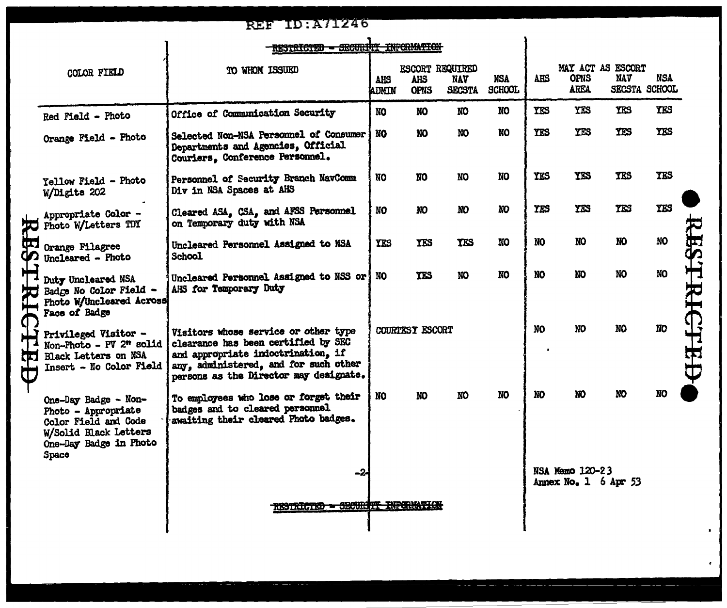| <b>REF ID: A71246</b>                                                                                                           |                                                                                                                                                                                                      |              |                           |                             |                                                                         |            |                     |                 |                                         |                                    |
|---------------------------------------------------------------------------------------------------------------------------------|------------------------------------------------------------------------------------------------------------------------------------------------------------------------------------------------------|--------------|---------------------------|-----------------------------|-------------------------------------------------------------------------|------------|---------------------|-----------------|-----------------------------------------|------------------------------------|
| RESTRICTED - SECURITY INFORMATION                                                                                               |                                                                                                                                                                                                      |              |                           |                             |                                                                         |            |                     |                 |                                         |                                    |
| COLOR FIELD                                                                                                                     | TO WHOM ISSUED                                                                                                                                                                                       | AHS<br>ADMIN | <b>AHS</b><br><b>OPNS</b> | <b>NAV</b><br><b>SECSTA</b> | <b>NSA</b><br><b>SCHOOL</b>                                             | <b>AHS</b> | <b>OPNS</b><br>AREA | <b>NAV</b>      | NSA                                     |                                    |
| Red Field - Photo                                                                                                               | Office of Communication Security                                                                                                                                                                     | <b>NO</b>    | <b>NO</b>                 | <b>NO</b>                   | NO                                                                      | <b>YES</b> | <b>YES</b>          | <b>YES</b>      | <b>TES</b>                              |                                    |
| Orange Field - Photo                                                                                                            | Selected Non-NSA Personnel of Consumer<br>Departments and Agencies, Official<br>Couriers, Conference Personnel.                                                                                      | <b>NO</b>    | NO                        | NO                          | NO                                                                      | <b>YES</b> | <b>YES</b>          | <b>YES</b>      | <b>YES</b>                              |                                    |
| Yellow Field - Photo<br>W/Digits 202                                                                                            | Personnel of Security Branch NavComm<br>Div in NSA Spaces at AHS                                                                                                                                     | NO           | <b>NO</b>                 | <b>NO</b>                   | NO.                                                                     | <b>YES</b> | <b>YES</b>          | <b>TES</b>      | <b>YES</b>                              |                                    |
| Appropriate Color -<br>Photo W/Letters TDY                                                                                      | Cleared ASA, CSA, and AFSS Personnel<br>on Temporary duty with NSA                                                                                                                                   | NO.          | NO.                       | NO                          | NО                                                                      | <b>YES</b> | <b>YES</b>          | <b>YES</b>      | YES                                     |                                    |
| Orange Filagree<br>Uncleared - Photo                                                                                            | Uncleared Personnel Assigned to NSA<br>School                                                                                                                                                        | <b>YES</b>   | <b>YES</b>                | <b>YES</b>                  | NO                                                                      | NO         | <b>NO</b>           | NO.             | <b>NO</b>                               |                                    |
| Duty Uncleared NSA<br>Badge No Color Field -<br>Photo W/Uncleared Across<br>Face of Badge                                       | Uncleared Personnel Assigned to NSS or<br>AHS for Temporary Duty                                                                                                                                     | NO           | <b>YES</b>                | <b>NO</b>                   | NO.                                                                     | <b>NO</b>  | <b>NO</b>           | NO              | NO                                      |                                    |
| Privileged Visitor -<br>Non-Photo - PV 2" solid<br><b>Black Letters on NSA</b><br>Insert - No Color Field                       | Visitors whose service or other type<br>clearance has been certified by SEC<br>and appropriate indoctrination, if<br>any, administered, and for such other<br>persons as the Director may designate. |              |                           |                             |                                                                         | NO         | NO                  | NO <sub>1</sub> | <b>NO</b>                               |                                    |
| One-Day Badge - Non-<br>Photo - Appropriate<br>Color Field and Code<br>W/Solid Black Letters<br>One-Day Badge in Photo<br>Space | To employees who lose or forget their<br>badges and to cleared personnel<br>awaiting their cleared Photo badges.                                                                                     | <b>NO</b>    | NO                        | NO                          | NO                                                                      | NO         | NO                  | NO              | <b>NO</b>                               |                                    |
|                                                                                                                                 | -2                                                                                                                                                                                                   |              |                           |                             |                                                                         |            |                     |                 |                                         |                                    |
|                                                                                                                                 | RIGT                                                                                                                                                                                                 |              |                           |                             | ESCORT REQUIRED<br>COURTESY ESCORT<br>RESTRICTED - SECURITY INFORMATION |            |                     |                 | NSA Memo 120-23<br>Annex No. 1 6 Apr 53 | MAY ACT AS ESCORT<br>SECSTA SCHOOL |

 $\bullet$ 

٠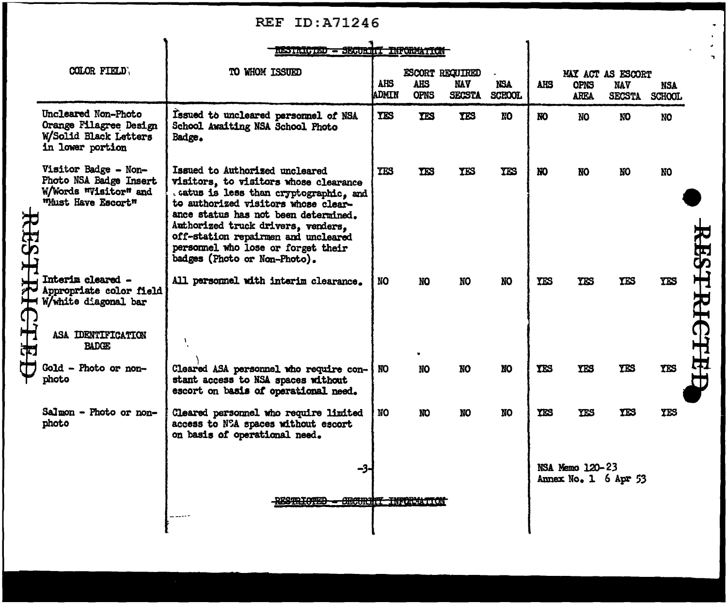|                                   | <b>REF</b><br>ID:A71246                                                                       |                                                                                                                                                                                                                                                                                                                                                      |                            |                           |                                         |                             |            |                                         |                                                  |                      |  |
|-----------------------------------|-----------------------------------------------------------------------------------------------|------------------------------------------------------------------------------------------------------------------------------------------------------------------------------------------------------------------------------------------------------------------------------------------------------------------------------------------------------|----------------------------|---------------------------|-----------------------------------------|-----------------------------|------------|-----------------------------------------|--------------------------------------------------|----------------------|--|
| RESTRICTED - SECURITI INFORMATION |                                                                                               |                                                                                                                                                                                                                                                                                                                                                      |                            |                           |                                         |                             |            |                                         |                                                  |                      |  |
|                                   | COLOR FIELD,                                                                                  | TO WHOM ISSUED                                                                                                                                                                                                                                                                                                                                       | <b>AHS</b><br><b>ADMIN</b> | <b>AHS</b><br><b>OPNS</b> | ESCORT REQUIRED<br>MAV<br><b>SECSTA</b> | <b>NSA</b><br><b>SCHOOL</b> | AHS        | OPNS<br><b>AREA</b>                     | MAY ACT AS ESCORT<br><b>NAV</b><br><b>SECSTA</b> | NSA<br><b>SCHOOL</b> |  |
| <b>RESTRH</b><br>CHEF             | Uncleared Non-Photo<br>Orange Filagree Design<br>W/Solid Black Letters<br>in lower portion    | Issued to uncleared personnel of NSA<br>School Awaiting NSA School Photo<br>Badge.                                                                                                                                                                                                                                                                   | <b>TES</b>                 | <b>TES</b>                | <b>TES</b>                              | <b>NO</b>                   | NO.        | NO                                      | NO.                                              | <b>NO</b>            |  |
|                                   | Visitor Badge - Non-<br>Photo NSA Badge Insert<br>W/Words "Visitor" and<br>"Must Have Escort" | Issued to Authorized uncleared<br>visitors, to visitors whose clearance<br>. catus is less than cryptographic, and<br>to authorized visitors whose clear-<br>ance status has not been determined.<br>Authorized truck drivers, venders,<br>off-station repairmen and uncleared<br>personnel who lose or forget their<br>badges (Photo or Non-Photo). | <b>TES</b>                 | <b>TES</b>                | YES                                     | <b>YES</b>                  | <b>NO</b>  | <b>NO</b>                               | NO.                                              | <b>NO</b>            |  |
|                                   | Interim cleared -<br>Appropriate color field<br>W/white diagonal bar<br>ASA IDENTIFICATION    | All personnel with interim clearance.                                                                                                                                                                                                                                                                                                                | NO                         | NO                        | NO                                      | NO.                         | <b>YES</b> | <b>TES</b>                              | <b>YES</b>                                       | <b>YES</b>           |  |
|                                   | <b>BADGE</b>                                                                                  |                                                                                                                                                                                                                                                                                                                                                      |                            |                           |                                         |                             |            |                                         |                                                  |                      |  |
|                                   | Gold - Photo or non-<br>photo                                                                 | Cleared ASA personnel who require con-<br>stant access to NSA spaces without<br>escort on basis of operational need.                                                                                                                                                                                                                                 | NO.                        | NO                        | NO                                      | <b>NO</b>                   | <b>YES</b> | YES                                     | <b>TES</b>                                       | <b>YES</b>           |  |
|                                   | Salmon - Photo or non-<br>photo                                                               | Cleared personnel who require limited<br>access to NSA spaces without escort<br>on basis of operational need.                                                                                                                                                                                                                                        | NO.                        | NO.                       | <b>NO</b>                               | <b>NO</b>                   | <b>YES</b> | <b>YES</b>                              | <b>YES</b>                                       | YES                  |  |
|                                   |                                                                                               | -3                                                                                                                                                                                                                                                                                                                                                   |                            |                           |                                         |                             |            | NSA Memo 120-23<br>Annex No. 1 6 Apr 53 |                                                  |                      |  |
|                                   |                                                                                               | RESTRIOTED - OECURITI INFORMATION                                                                                                                                                                                                                                                                                                                    |                            |                           |                                         |                             |            |                                         |                                                  |                      |  |

 $\begin{array}{c} \bullet \\ \bullet \\ \bullet \\ \bullet \end{array}$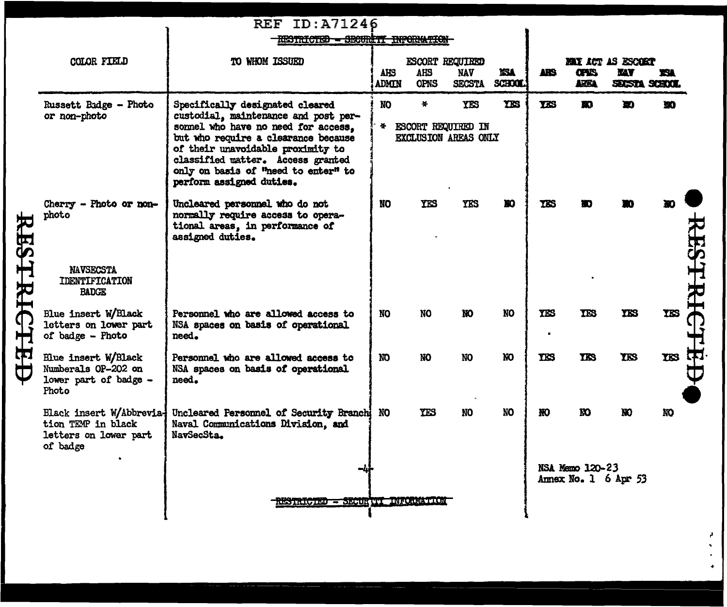| <b>REF ID: A71246</b>                                                               |                                                                                                                                                                                                                                                                                                   |                     |                                        |                             |                                                      |                                            |                            |            |                                         |                                          |
|-------------------------------------------------------------------------------------|---------------------------------------------------------------------------------------------------------------------------------------------------------------------------------------------------------------------------------------------------------------------------------------------------|---------------------|----------------------------------------|-----------------------------|------------------------------------------------------|--------------------------------------------|----------------------------|------------|-----------------------------------------|------------------------------------------|
|                                                                                     |                                                                                                                                                                                                                                                                                                   |                     |                                        |                             |                                                      |                                            |                            |            |                                         |                                          |
| COLOR FIELD                                                                         | TO WHOM ISSUED                                                                                                                                                                                                                                                                                    | AHS<br><b>ADMIN</b> | AHS<br><b>OPNS</b>                     | <b>NAV</b><br><b>SECSTA</b> | XSA<br>SCHOOL.                                       | ARS.                                       | <b>CPIS</b><br><b>ARKA</b> | <b>MAY</b> | <b>TSA</b>                              |                                          |
| Russett Badge - Photo<br>or non-photo                                               | Specifically designated cleared<br>custodial, maintenance and post per-<br>somel who have no need for access.<br>but who require a clearance because<br>of their unavoidable proximity to<br>classified matter. Access granted<br>only on basis of "need to enter" to<br>perform assigned duties. | NO.<br>봕.           | *                                      | <b>YES</b>                  | <b>YKS</b>                                           | <b>TES</b>                                 | m                          | Đ          | m                                       |                                          |
| Cherry - Photo or non-<br>photo                                                     | Uncleared personnel who do not<br>normally require access to opera-<br>tional areas, in performance of<br>assigned duties.                                                                                                                                                                        | <b>NO</b>           | YES                                    | <b>YES</b>                  | Ю                                                    | TIS                                        |                            |            |                                         |                                          |
| <b>NAVSECSTA</b><br><b>IDENTIFICATION</b><br><b>BADGE</b>                           |                                                                                                                                                                                                                                                                                                   |                     |                                        |                             |                                                      |                                            |                            |            |                                         |                                          |
| Blue insert W/Black<br>letters on lower part<br>of badge - Photo                    | Personnel who are allowed access to<br>NSA spaces on basis of operational<br>need.                                                                                                                                                                                                                | <b>NO</b>           | <b>NO</b>                              | NO.                         | <b>NO</b>                                            | <b>TES</b>                                 | <b>TES</b>                 | <b>YKS</b> | <b>TES</b>                              |                                          |
| Blue insert W/Black<br>Numberals OP-202 on<br>lower part of badge -<br>Photo        | Personnel who are allowed access to<br>NSA spaces on basis of operational<br>need.                                                                                                                                                                                                                | NO                  | NO.                                    | NO.                         | <b>NO</b>                                            | TIS                                        | <b>TES</b>                 | <b>TES</b> | TES <sub></sub>                         |                                          |
| Black insert W/Abbrevia-<br>tion TEMP in black<br>letters on lower part<br>of badge | Naval Communications Division, and<br>NavSecSta.                                                                                                                                                                                                                                                  | NO                  | <b>YES</b>                             | NO                          | <b>NO</b>                                            | HO.                                        | m                          | <b>KO</b>  | NO.                                     |                                          |
| -41<br>RESTRICTED - SECURITY INFORMATION                                            |                                                                                                                                                                                                                                                                                                   |                     |                                        |                             |                                                      |                                            |                            |            |                                         |                                          |
|                                                                                     |                                                                                                                                                                                                                                                                                                   |                     | Uncleared Personnel of Security Branch |                             | RESTRICTED - SECURITI INFORMATION<br>ESCORT REQUIRED | ESCORT REQUIRED IN<br>EXCLUSION AREAS ONLY |                            |            | NSA Memo 120-23<br>Annex No. 1 6 Apr 53 | <b>HAY ACT AS ESCORT</b><br>SUSTA SCHOOL |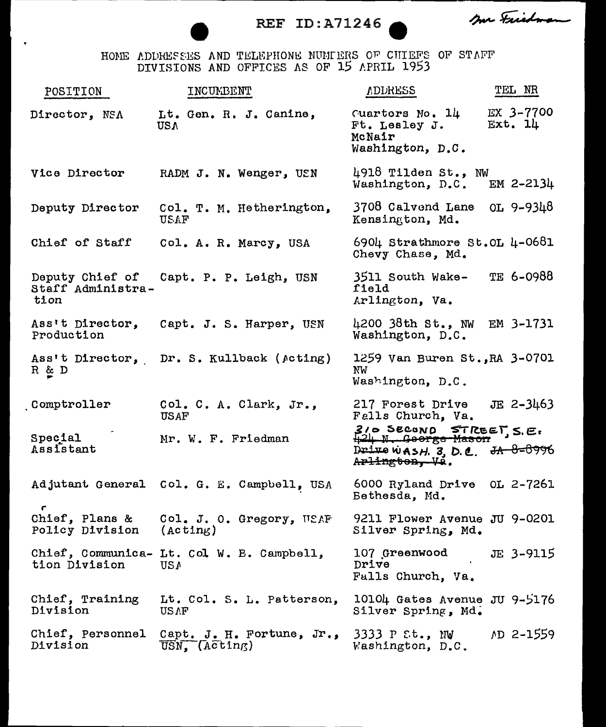REF ID:A71246

me Friedman

HONE ADDRESES AND TELEPHONE NUMIERS OF CHIEFS OF STAFF DIVISIONS AND OFFICES AS OF 15 APRIL 1953

| POSITION                                   | INCUMBENT                                                              | <b>ADDRESS</b>                                                                        | TEL NR               |
|--------------------------------------------|------------------------------------------------------------------------|---------------------------------------------------------------------------------------|----------------------|
| Director, NSA                              | Lt. Gen. R. J. Canine,<br><b>USA</b>                                   | Guarters No. 14<br>Ft. Lesley J.<br>McNair<br>Washington, D.C.                        | EX 3-7700<br>Ext. 14 |
| Vice Director                              | RADM J. N. Wenger, USN                                                 | 4918 Tilden St., NW<br>Washington, D.C.                                               | EM $2 - 2134$        |
| Deputy Director                            | Col. T. M. Hetherington,<br><b>USAF</b>                                | $3708$ Calvend Lane OL 9-9348<br>Kensington, Md.                                      |                      |
| Chief of Staff                             | Col. A. R. Marcy, USA                                                  | 6904 Strathmore St.OL $\mu$ -0681<br>Chevy Chase, Md.                                 |                      |
| Staff Administra-<br>tion                  | Deputy Chief of Capt. P. P. Leigh, USN                                 | 3511 South Wake-<br>field<br>Arlington, Va.                                           | TE 6-0988            |
| Ass't Director,<br>Production              | Capt. J. S. Harper, USN                                                | 4200 $38th$ St., NW<br>Washington, D.C.                                               | EM 3-1731            |
| R & D                                      | Ass't Director, Dr. S. Kullback (Acting)                               | 1259 Van Buren St., RA 3-0701<br>NW<br>Washington, D.C.                               |                      |
| Comptroller                                | Col. C. A. Clark, Jr.,<br>USAF                                         | 217 Forest Drive<br>Falls Church, Va.                                                 | $JE$ 2-3463          |
| Special<br>Assistant                       | Mr. W. F. Friedman                                                     | 310 SECOND STREET S.E.<br>Drive wasH. 3, D.C. $\frac{3A-8-6996}{2}$<br>Arlington, Vi. |                      |
|                                            | Adjutant General Col. G. E. Campbell, USA                              | 6000 Ryland Drive OL 2-7261<br>Bethesda. Md.                                          |                      |
| Chief, Plans &<br>Policy Division (Acting) | Col. J. O. Gregory, WEAF                                               | 9211 Flower Avenue JU 9-0201<br>Silver Spring, Md.                                    |                      |
| tion Division                              | Chief, Communica- Lt. Col W. B. Campbell,<br><b>USA</b>                | 107 Greenwood<br>Drive<br>Falls Church, Va.                                           | JE 3-9115            |
| Chief, Training<br>Division                | Lt. Col. S. L. Patterson,<br>USAF                                      | 10104 Gates Avenue JU 9-5176<br>Silver Spring, Md.                                    |                      |
| Chief, Personnel<br>Division               | Capt. J. H. Fortune, $Jr_{\bullet}$ ,<br>$\overline{USN}$ , $(Acting)$ | 3333 P St., NW<br>Washington, D.C.                                                    | AD 2-1559            |